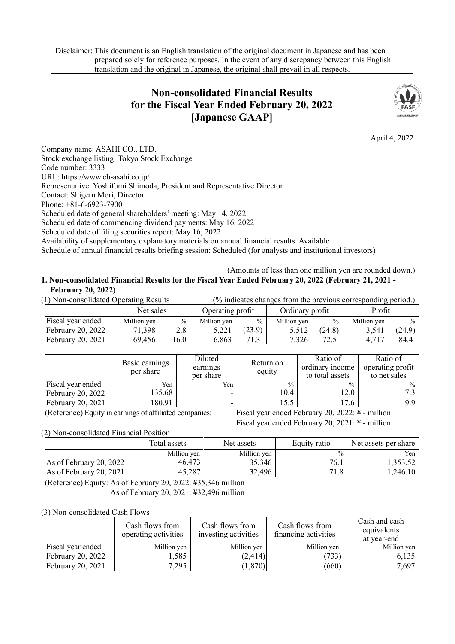Disclaimer: This document is an English translation of the original document in Japanese and has been prepared solely for reference purposes. In the event of any discrepancy between this English translation and the original in Japanese, the original shall prevail in all respects.

# **Non-consolidated Financial Results for the Fiscal Year Ended February 20, 2022 [Japanese GAAP]**



April 4, 2022

Company name: ASAHI CO., LTD. Stock exchange listing: Tokyo Stock Exchange Code number: 3333 URL: https://www.cb-asahi.co.jp/ Representative: Yoshifumi Shimoda, President and Representative Director Contact: Shigeru Mori, Director Phone: +81-6-6923-7900 Scheduled date of general shareholders' meeting: May 14, 2022 Scheduled date of commencing dividend payments: May 16, 2022 Scheduled date of filing securities report: May 16, 2022 Availability of supplementary explanatory materials on annual financial results: Available

Schedule of annual financial results briefing session: Scheduled (for analysts and institutional investors)

### (Amounts of less than one million yen are rounded down.) **1. Non-consolidated Financial Results for the Fiscal Year Ended February 20, 2022 (February 21, 2021 - February 20, 2022)**

| (1) Non-consolidated Operating Results | (% indicates changes from the previous corresponding period.) |      |                  |               |                 |               |             |               |
|----------------------------------------|---------------------------------------------------------------|------|------------------|---------------|-----------------|---------------|-------------|---------------|
|                                        | Net sales                                                     |      | Operating profit |               | Ordinary profit |               | Profit      |               |
| Fiscal year ended                      | Million yen                                                   | $\%$ | Million yen      | $\frac{0}{0}$ | Million yen     | $\frac{0}{0}$ | Million yen | $\frac{0}{0}$ |
| February $20, 2022$                    | 71,398                                                        | 2.8  | 5.221            | (23.9)        | 5.512           | (24.8)        | 3.541       | (24.9)        |
| February $20, 2021$                    | 69,456                                                        | 16.0 | 6,863            | 71.3          | 7.326           | 72.5          | 4.717       | 84.4          |

|                          | Basic earnings<br>per share | Diluted<br>earnings<br>per share | Return on<br>equity | Ratio of<br>ordinary income<br>to total assets | Ratio of<br>operating profit<br>to net sales |
|--------------------------|-----------------------------|----------------------------------|---------------------|------------------------------------------------|----------------------------------------------|
| Fiscal year ended        | Yen                         | Yen                              | $\frac{0}{0}$       | $\frac{0}{0}$                                  | $\%$                                         |
| <b>February 20, 2022</b> | 135.68                      |                                  | 10.4                | 12.0                                           |                                              |
| February 20, 2021        | 180.91                      |                                  | 15.5                | 17.6                                           | 9.9 <sub>1</sub>                             |

(Reference) Equity in earnings of affiliated companies: Fiscal year ended February 20, 2022: ¥ - million

Fiscal year ended February 20, 2021: ¥ - million

(2) Non-consolidated Financial Position

|                           | Total assets | Net assets  | Equity ratio  | Net assets per share |  |
|---------------------------|--------------|-------------|---------------|----------------------|--|
|                           | Million yen  | Million yen | $\frac{0}{0}$ | Yen                  |  |
| As of February 20, 2022   | 46.473       | 35,346      | 76.1          | 1,353.52             |  |
| As of February 20, $2021$ | 45,287       | 32,496      | 71.8          | 1.246.10             |  |

(Reference) Equity: As of February 20, 2022: ¥35,346 million As of February 20, 2021: ¥32,496 million

### (3) Non-consolidated Cash Flows

|                     | Cash flows from<br>operating activities | Cash flows from<br>investing activities | Cash flows from<br>financing activities | Cash and cash<br>equivalents<br>at year-end |
|---------------------|-----------------------------------------|-----------------------------------------|-----------------------------------------|---------------------------------------------|
| Fiscal year ended   | Million yen                             | Million yen                             | Million yen                             | Million yen                                 |
| February $20, 2022$ | 1,585                                   | (2, 414)                                | (733)                                   | 6,135                                       |
| February $20, 2021$ | 7,295                                   | (1,870)                                 | (660)                                   | 7,697                                       |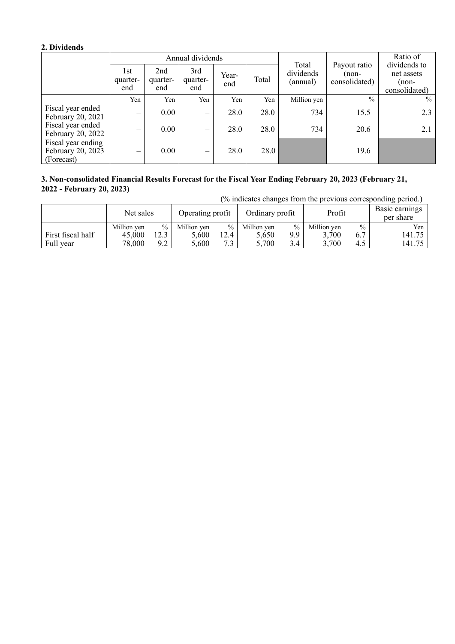## **2. Dividends**

| Annual dividends                                      |                                |                        |                        |              |       |                                | Payout ratio          | Ratio of<br>dividends to |
|-------------------------------------------------------|--------------------------------|------------------------|------------------------|--------------|-------|--------------------------------|-----------------------|--------------------------|
|                                                       | 1st<br>quarter-<br>end         | 2nd<br>quarter-<br>end | 3rd<br>quarter-<br>end | Year-<br>end | Total | Total<br>dividends<br>(annual) | non-<br>consolidated) |                          |
|                                                       | Yen                            | Yen                    | Yen                    | Yen          | Yen   | Million yen                    | $\frac{0}{0}$         | $\frac{0}{0}$            |
| Fiscal year ended<br>February 20, 2021                | $\overline{\phantom{m}}$       | 0.00                   | $\hspace{0.05cm}$      | 28.0         | 28.0  | 734                            | 15.5                  | 2.3                      |
| Fiscal year ended<br>February 20, 2022                | $\qquad \qquad \longleftarrow$ | 0.00                   | -                      | 28.0         | 28.0  | 734                            | 20.6                  | 2.1                      |
| Fiscal year ending<br>February 20, 2023<br>(Forecast) | $\qquad \qquad \longleftarrow$ | 0.00                   | -                      | 28.0         | 28.0  |                                | 19.6                  |                          |

### **3. Non-consolidated Financial Results Forecast for the Fiscal Year Ending February 20, 2023 (February 21, 2022 - February 20, 2023)**

| (% indicates changes from the previous corresponding period.) |             |      |                  |      |                 |               |             |               |                             |
|---------------------------------------------------------------|-------------|------|------------------|------|-----------------|---------------|-------------|---------------|-----------------------------|
|                                                               | Net sales   |      | Operating profit |      | Ordinary profit |               | Profit      |               | Basic earnings<br>per share |
|                                                               | Million yen | $\%$ | Million yen      | $\%$ | Million yen     | $\%$          | Million yen | $\frac{0}{0}$ | Yen                         |
| First fiscal half                                             | 45,000      | 12.3 | 5.600            | 12.4 | 5.650           | 9.9           | 3.700       | 6.7           | 141.75                      |
| Full year                                                     | 78,000      | 9.2  | 5.600            | 7.3  | 5.700           | $3.4^{\circ}$ | 3,700       | 4.5           | 141.75                      |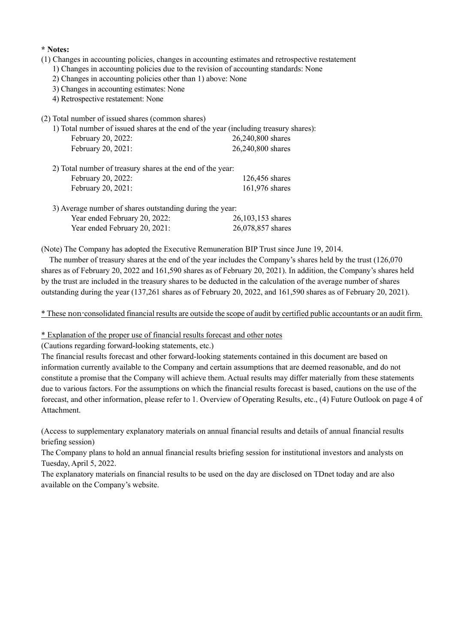### **\* Notes:**

- (1) Changes in accounting policies, changes in accounting estimates and retrospective restatement
	- 1) Changes in accounting policies due to the revision of accounting standards: None
	- 2) Changes in accounting policies other than 1) above: None
	- 3) Changes in accounting estimates: None
	- 4) Retrospective restatement: None
- (2) Total number of issued shares (common shares)

|                    | 1) Total number of issued shares at the end of the year (including treasury shares): |
|--------------------|--------------------------------------------------------------------------------------|
| February 20, 2022: | 26,240,800 shares                                                                    |
| February 20, 2021: | 26,240,800 shares                                                                    |

| 2) Total number of treasury shares at the end of the year: |                  |
|------------------------------------------------------------|------------------|
| February 20, 2022:                                         | $126,456$ shares |
| February 20, 2021:                                         | 161,976 shares   |

| 3) Average number of shares outstanding during the year: |                     |
|----------------------------------------------------------|---------------------|
| Year ended February 20, 2022:                            | $26,103,153$ shares |

Year ended February 20, 2021: 26,078,857 shares

(Note) The Company has adopted the Executive Remuneration BIP Trust since June 19, 2014.

The number of treasury shares at the end of the year includes the Company's shares held by the trust (126,070 shares as of February 20, 2022 and 161,590 shares as of February 20, 2021). In addition, the Company's shares held by the trust are included in the treasury shares to be deducted in the calculation of the average number of shares outstanding during the year (137,261 shares as of February 20, 2022, and 161,590 shares as of February 20, 2021).

\* These non-consolidated financial results are outside the scope of audit by certified public accountants or an audit firm.

### \* Explanation of the proper use of financial results forecast and other notes

(Cautions regarding forward-looking statements, etc.)

The financial results forecast and other forward-looking statements contained in this document are based on information currently available to the Company and certain assumptions that are deemed reasonable, and do not constitute a promise that the Company will achieve them. Actual results may differ materially from these statements due to various factors. For the assumptions on which the financial results forecast is based, cautions on the use of the forecast, and other information, please refer to 1. Overview of Operating Results, etc., (4) Future Outlook on page 4 of Attachment.

(Access to supplementary explanatory materials on annual financial results and details of annual financial results briefing session)

The Company plans to hold an annual financial results briefing session for institutional investors and analysts on Tuesday, April 5, 2022.

The explanatory materials on financial results to be used on the day are disclosed on TDnet today and are also available on the Company's website.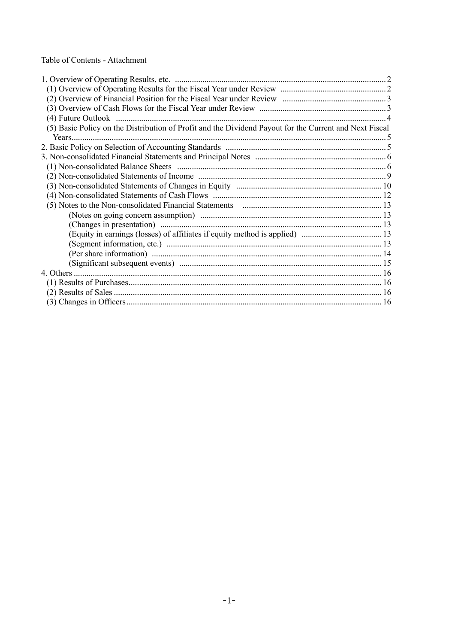Table of Contents - Attachment

| (5) Basic Policy on the Distribution of Profit and the Dividend Payout for the Current and Next Fiscal |  |
|--------------------------------------------------------------------------------------------------------|--|
|                                                                                                        |  |
|                                                                                                        |  |
|                                                                                                        |  |
|                                                                                                        |  |
|                                                                                                        |  |
|                                                                                                        |  |
|                                                                                                        |  |
|                                                                                                        |  |
|                                                                                                        |  |
|                                                                                                        |  |
|                                                                                                        |  |
|                                                                                                        |  |
|                                                                                                        |  |
|                                                                                                        |  |
|                                                                                                        |  |
|                                                                                                        |  |
|                                                                                                        |  |
|                                                                                                        |  |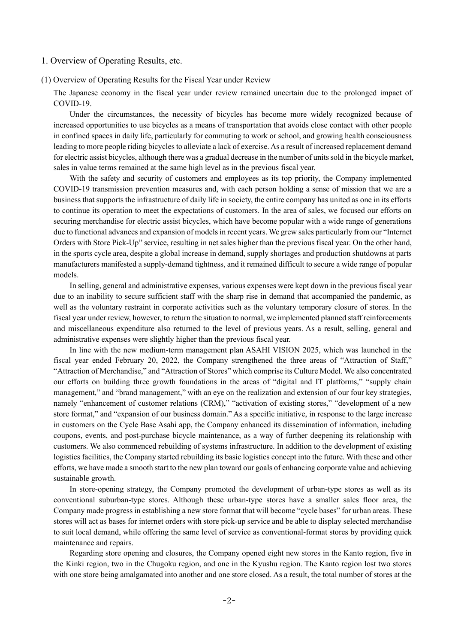### 1. Overview of Operating Results, etc.

(1) Overview of Operating Results for the Fiscal Year under Review

The Japanese economy in the fiscal year under review remained uncertain due to the prolonged impact of COVID-19.

Under the circumstances, the necessity of bicycles has become more widely recognized because of increased opportunities to use bicycles as a means of transportation that avoids close contact with other people in confined spaces in daily life, particularly for commuting to work or school, and growing health consciousness leading to more people riding bicycles to alleviate a lack of exercise. As a result of increased replacement demand for electric assist bicycles, although there was a gradual decrease in the number of units sold in the bicycle market, sales in value terms remained at the same high level as in the previous fiscal year.

With the safety and security of customers and employees as its top priority, the Company implemented COVID-19 transmission prevention measures and, with each person holding a sense of mission that we are a business that supports the infrastructure of daily life in society, the entire company has united as one in its efforts to continue its operation to meet the expectations of customers. In the area of sales, we focused our efforts on securing merchandise for electric assist bicycles, which have become popular with a wide range of generations due to functional advances and expansion of models in recent years. We grew sales particularly from our "Internet Orders with Store Pick-Up" service, resulting in net sales higher than the previous fiscal year. On the other hand, in the sports cycle area, despite a global increase in demand, supply shortages and production shutdowns at parts manufacturers manifested a supply-demand tightness, and it remained difficult to secure a wide range of popular models.

In selling, general and administrative expenses, various expenses were kept down in the previous fiscal year due to an inability to secure sufficient staff with the sharp rise in demand that accompanied the pandemic, as well as the voluntary restraint in corporate activities such as the voluntary temporary closure of stores. In the fiscal year under review, however, to return the situation to normal, we implemented planned staff reinforcements and miscellaneous expenditure also returned to the level of previous years. As a result, selling, general and administrative expenses were slightly higher than the previous fiscal year.

In line with the new medium-term management plan ASAHI VISION 2025, which was launched in the fiscal year ended February 20, 2022, the Company strengthened the three areas of "Attraction of Staff," "Attraction of Merchandise," and "Attraction of Stores" which comprise its Culture Model. We also concentrated our efforts on building three growth foundations in the areas of "digital and IT platforms," "supply chain management," and "brand management," with an eye on the realization and extension of our four key strategies, namely "enhancement of customer relations (CRM)," "activation of existing stores," "development of a new store format," and "expansion of our business domain." As a specific initiative, in response to the large increase in customers on the Cycle Base Asahi app, the Company enhanced its dissemination of information, including coupons, events, and post-purchase bicycle maintenance, as a way of further deepening its relationship with customers. We also commenced rebuilding of systems infrastructure. In addition to the development of existing logistics facilities, the Company started rebuilding its basic logistics concept into the future. With these and other efforts, we have made a smooth start to the new plan toward our goals of enhancing corporate value and achieving sustainable growth.

In store-opening strategy, the Company promoted the development of urban-type stores as well as its conventional suburban-type stores. Although these urban-type stores have a smaller sales floor area, the Company made progress in establishing a new store format that will become "cycle bases" for urban areas. These stores will act as bases for internet orders with store pick-up service and be able to display selected merchandise to suit local demand, while offering the same level of service as conventional-format stores by providing quick maintenance and repairs.

Regarding store opening and closures, the Company opened eight new stores in the Kanto region, five in the Kinki region, two in the Chugoku region, and one in the Kyushu region. The Kanto region lost two stores with one store being amalgamated into another and one store closed. As a result, the total number of stores at the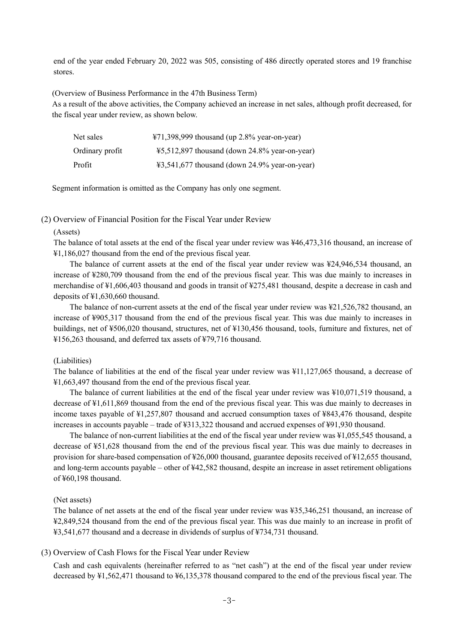end of the year ended February 20, 2022 was 505, consisting of 486 directly operated stores and 19 franchise stores.

(Overview of Business Performance in the 47th Business Term)

As a result of the above activities, the Company achieved an increase in net sales, although profit decreased, for the fiscal year under review, as shown below.

| Net sales       | $\text{\#71,398,999}$ thousand (up 2.8% year-on-year)              |
|-----------------|--------------------------------------------------------------------|
| Ordinary profit | $45,512,897$ thousand (down 24.8% year-on-year)                    |
| Profit          | $\text{\textsterling}3,541,677$ thousand (down 24.9% year-on-year) |

Segment information is omitted as the Company has only one segment.

(2) Overview of Financial Position for the Fiscal Year under Review

#### (Assets)

The balance of total assets at the end of the fiscal year under review was ¥46,473,316 thousand, an increase of ¥1,186,027 thousand from the end of the previous fiscal year.

The balance of current assets at the end of the fiscal year under review was ¥24,946,534 thousand, an increase of ¥280,709 thousand from the end of the previous fiscal year. This was due mainly to increases in merchandise of ¥1,606,403 thousand and goods in transit of ¥275,481 thousand, despite a decrease in cash and deposits of ¥1,630,660 thousand.

The balance of non-current assets at the end of the fiscal year under review was ¥21,526,782 thousand, an increase of ¥905,317 thousand from the end of the previous fiscal year. This was due mainly to increases in buildings, net of ¥506,020 thousand, structures, net of ¥130,456 thousand, tools, furniture and fixtures, net of ¥156,263 thousand, and deferred tax assets of ¥79,716 thousand.

#### (Liabilities)

The balance of liabilities at the end of the fiscal year under review was ¥11,127,065 thousand, a decrease of ¥1,663,497 thousand from the end of the previous fiscal year.

The balance of current liabilities at the end of the fiscal year under review was ¥10,071,519 thousand, a decrease of ¥1,611,869 thousand from the end of the previous fiscal year. This was due mainly to decreases in income taxes payable of ¥1,257,807 thousand and accrued consumption taxes of ¥843,476 thousand, despite increases in accounts payable – trade of ¥313,322 thousand and accrued expenses of ¥91,930 thousand.

The balance of non-current liabilities at the end of the fiscal year under review was ¥1,055,545 thousand, a decrease of ¥51,628 thousand from the end of the previous fiscal year. This was due mainly to decreases in provision for share-based compensation of ¥26,000 thousand, guarantee deposits received of ¥12,655 thousand, and long-term accounts payable – other of ¥42,582 thousand, despite an increase in asset retirement obligations of ¥60,198 thousand.

#### (Net assets)

The balance of net assets at the end of the fiscal year under review was ¥35,346,251 thousand, an increase of ¥2,849,524 thousand from the end of the previous fiscal year. This was due mainly to an increase in profit of ¥3,541,677 thousand and a decrease in dividends of surplus of ¥734,731 thousand.

#### (3) Overview of Cash Flows for the Fiscal Year under Review

Cash and cash equivalents (hereinafter referred to as "net cash") at the end of the fiscal year under review decreased by ¥1,562,471 thousand to ¥6,135,378 thousand compared to the end of the previous fiscal year. The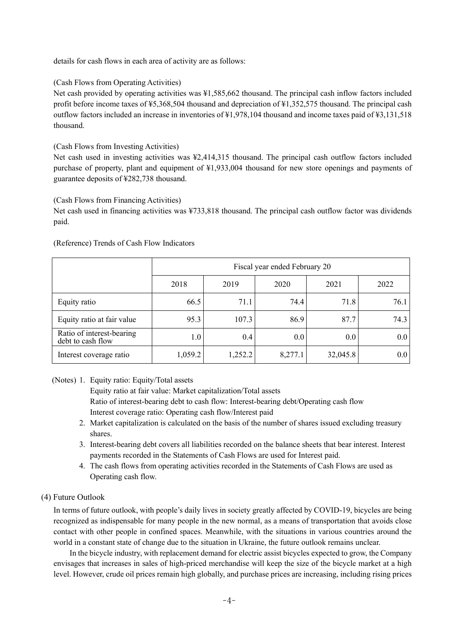details for cash flows in each area of activity are as follows:

(Cash Flows from Operating Activities)

Net cash provided by operating activities was ¥1,585,662 thousand. The principal cash inflow factors included profit before income taxes of ¥5,368,504 thousand and depreciation of ¥1,352,575 thousand. The principal cash outflow factors included an increase in inventories of ¥1,978,104 thousand and income taxes paid of ¥3,131,518 thousand.

(Cash Flows from Investing Activities)

Net cash used in investing activities was ¥2,414,315 thousand. The principal cash outflow factors included purchase of property, plant and equipment of ¥1,933,004 thousand for new store openings and payments of guarantee deposits of ¥282,738 thousand.

(Cash Flows from Financing Activities)

Net cash used in financing activities was ¥733,818 thousand. The principal cash outflow factor was dividends paid.

(Reference) Trends of Cash Flow Indicators

|                                                |         | Fiscal year ended February 20 |         |          |         |  |  |  |  |  |
|------------------------------------------------|---------|-------------------------------|---------|----------|---------|--|--|--|--|--|
|                                                | 2018    | 2019                          | 2020    | 2021     | 2022    |  |  |  |  |  |
| Equity ratio                                   | 66.5    | 71.1                          | 74.4    | 71.8     | 76.1    |  |  |  |  |  |
| Equity ratio at fair value                     | 95.3    | 107.3                         | 86.9    | 87.7     | 74.3    |  |  |  |  |  |
| Ratio of interest-bearing<br>debt to cash flow | 1.0     | 0.4                           | $0.0\,$ | 0.0      | $0.0\,$ |  |  |  |  |  |
| Interest coverage ratio                        | 1,059.2 | 1,252.2                       | 8,277.1 | 32,045.8 | 0.0     |  |  |  |  |  |

(Notes) 1. Equity ratio: Equity/Total assets

Equity ratio at fair value: Market capitalization/Total assets Ratio of interest-bearing debt to cash flow: Interest-bearing debt/Operating cash flow Interest coverage ratio: Operating cash flow/Interest paid

- 2. Market capitalization is calculated on the basis of the number of shares issued excluding treasury shares.
- 3. Interest-bearing debt covers all liabilities recorded on the balance sheets that bear interest. Interest payments recorded in the Statements of Cash Flows are used for Interest paid.
- 4. The cash flows from operating activities recorded in the Statements of Cash Flows are used as Operating cash flow.

### (4) Future Outlook

In terms of future outlook, with people's daily lives in society greatly affected by COVID-19, bicycles are being recognized as indispensable for many people in the new normal, as a means of transportation that avoids close contact with other people in confined spaces. Meanwhile, with the situations in various countries around the world in a constant state of change due to the situation in Ukraine, the future outlook remains unclear.

In the bicycle industry, with replacement demand for electric assist bicycles expected to grow, the Company envisages that increases in sales of high-priced merchandise will keep the size of the bicycle market at a high level. However, crude oil prices remain high globally, and purchase prices are increasing, including rising prices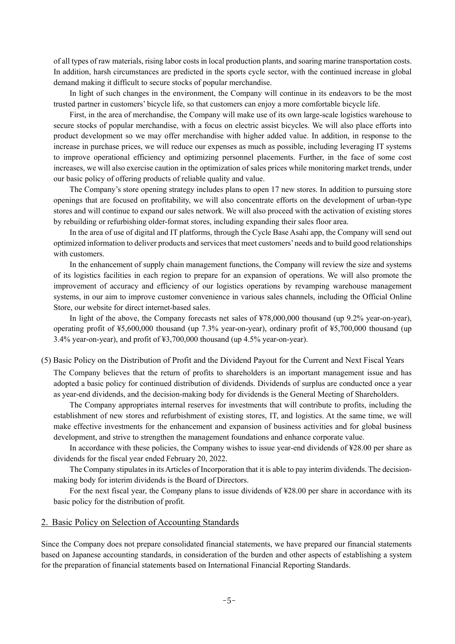of all types of raw materials, rising labor costs in local production plants, and soaring marine transportation costs. In addition, harsh circumstances are predicted in the sports cycle sector, with the continued increase in global demand making it difficult to secure stocks of popular merchandise.

In light of such changes in the environment, the Company will continue in its endeavors to be the most trusted partner in customers' bicycle life, so that customers can enjoy a more comfortable bicycle life.

First, in the area of merchandise, the Company will make use of its own large-scale logistics warehouse to secure stocks of popular merchandise, with a focus on electric assist bicycles. We will also place efforts into product development so we may offer merchandise with higher added value. In addition, in response to the increase in purchase prices, we will reduce our expenses as much as possible, including leveraging IT systems to improve operational efficiency and optimizing personnel placements. Further, in the face of some cost increases, we will also exercise caution in the optimization of sales prices while monitoring market trends, under our basic policy of offering products of reliable quality and value.

The Company's store opening strategy includes plans to open 17 new stores. In addition to pursuing store openings that are focused on profitability, we will also concentrate efforts on the development of urban-type stores and will continue to expand our sales network. We will also proceed with the activation of existing stores by rebuilding or refurbishing older-format stores, including expanding their sales floor area.

In the area of use of digital and IT platforms, through the Cycle Base Asahi app, the Company will send out optimized information to deliver products and services that meet customers' needs and to build good relationships with customers.

In the enhancement of supply chain management functions, the Company will review the size and systems of its logistics facilities in each region to prepare for an expansion of operations. We will also promote the improvement of accuracy and efficiency of our logistics operations by revamping warehouse management systems, in our aim to improve customer convenience in various sales channels, including the Official Online Store, our website for direct internet-based sales.

In light of the above, the Company forecasts net sales of ¥78,000,000 thousand (up 9.2% year-on-year), operating profit of ¥5,600,000 thousand (up 7.3% year-on-year), ordinary profit of ¥5,700,000 thousand (up 3.4% year-on-year), and profit of ¥3,700,000 thousand (up 4.5% year-on-year).

(5) Basic Policy on the Distribution of Profit and the Dividend Payout for the Current and Next Fiscal Years

The Company believes that the return of profits to shareholders is an important management issue and has adopted a basic policy for continued distribution of dividends. Dividends of surplus are conducted once a year as year-end dividends, and the decision-making body for dividends is the General Meeting of Shareholders.

The Company appropriates internal reserves for investments that will contribute to profits, including the establishment of new stores and refurbishment of existing stores, IT, and logistics. At the same time, we will make effective investments for the enhancement and expansion of business activities and for global business development, and strive to strengthen the management foundations and enhance corporate value.

In accordance with these policies, the Company wishes to issue year-end dividends of ¥28.00 per share as dividends for the fiscal year ended February 20, 2022.

The Company stipulates in its Articles of Incorporation that it is able to pay interim dividends. The decisionmaking body for interim dividends is the Board of Directors.

For the next fiscal year, the Company plans to issue dividends of \\$28.00 per share in accordance with its basic policy for the distribution of profit.

### 2. Basic Policy on Selection of Accounting Standards

Since the Company does not prepare consolidated financial statements, we have prepared our financial statements based on Japanese accounting standards, in consideration of the burden and other aspects of establishing a system for the preparation of financial statements based on International Financial Reporting Standards.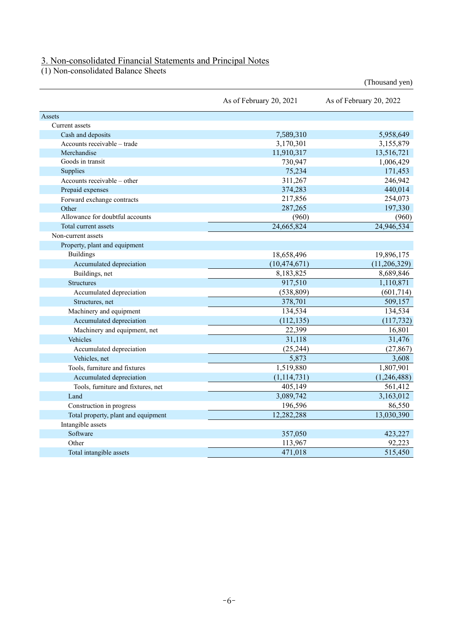### 3. Non-consolidated Financial Statements and Principal Notes

(1) Non-consolidated Balance Sheets

|                                     |                         | (Thousand yen)          |
|-------------------------------------|-------------------------|-------------------------|
|                                     | As of February 20, 2021 | As of February 20, 2022 |
| Assets                              |                         |                         |
| Current assets                      |                         |                         |
| Cash and deposits                   | 7,589,310               | 5,958,649               |
| Accounts receivable - trade         | 3,170,301               | 3,155,879               |
| Merchandise                         | 11,910,317              | 13,516,721              |
| Goods in transit                    | 730,947                 | 1,006,429               |
| Supplies                            | 75,234                  | 171,453                 |
| Accounts receivable – other         | 311,267                 | 246,942                 |
| Prepaid expenses                    | 374,283                 | 440,014                 |
| Forward exchange contracts          | 217,856                 | 254,073                 |
| Other                               | 287,265                 | 197,330                 |
| Allowance for doubtful accounts     | (960)                   | (960)                   |
| Total current assets                | 24,665,824              | 24,946,534              |
| Non-current assets                  |                         |                         |
| Property, plant and equipment       |                         |                         |
| <b>Buildings</b>                    | 18,658,496              | 19,896,175              |
| Accumulated depreciation            | (10, 474, 671)          | (11, 206, 329)          |
| Buildings, net                      | 8,183,825               | 8,689,846               |
| <b>Structures</b>                   | 917,510                 | 1,110,871               |
| Accumulated depreciation            | (538, 809)              | (601, 714)              |
| Structures, net                     | 378,701                 | 509,157                 |
| Machinery and equipment             | 134,534                 | 134,534                 |
| Accumulated depreciation            | (112, 135)              | (117, 732)              |
| Machinery and equipment, net        | 22,399                  | 16,801                  |
| Vehicles                            | 31,118                  | 31,476                  |
| Accumulated depreciation            | (25, 244)               | (27, 867)               |
| Vehicles, net                       | 5,873                   | 3,608                   |
| Tools, furniture and fixtures       | 1,519,880               | 1,807,901               |
| Accumulated depreciation            | (1, 114, 731)           | (1,246,488)             |
| Tools, furniture and fixtures, net  | 405,149                 | 561,412                 |
| Land                                | 3,089,742               | 3,163,012               |
| Construction in progress            | 196,596                 | 86,550                  |
| Total property, plant and equipment | 12,282,288              | 13,030,390              |
| Intangible assets                   |                         |                         |
| Software                            | 357,050                 | 423,227                 |
| Other                               | 113,967                 | 92,223                  |
| Total intangible assets             | 471,018                 | 515,450                 |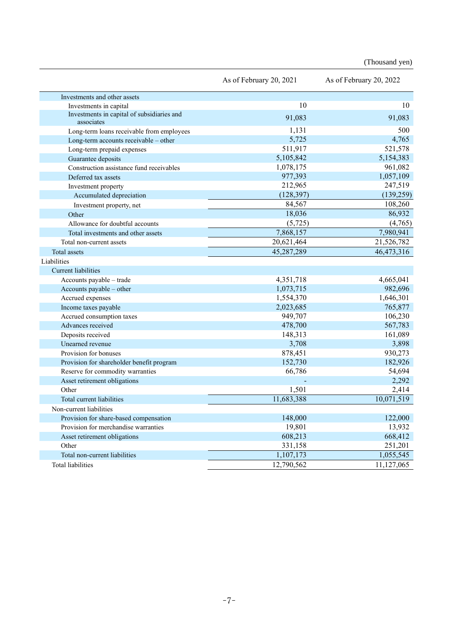(Thousand yen)

|                                                          | As of February 20, 2021 | As of February 20, 2022 |
|----------------------------------------------------------|-------------------------|-------------------------|
| Investments and other assets                             |                         |                         |
| Investments in capital                                   | 10                      | 10                      |
| Investments in capital of subsidiaries and<br>associates | 91,083                  | 91,083                  |
| Long-term loans receivable from employees                | 1,131                   | 500                     |
| Long-term accounts receivable - other                    | 5,725                   | 4,765                   |
| Long-term prepaid expenses                               | 511,917                 | 521,578                 |
| Guarantee deposits                                       | 5,105,842               | 5,154,383               |
| Construction assistance fund receivables                 | 1,078,175               | 961,082                 |
| Deferred tax assets                                      | 977,393                 | 1,057,109               |
| Investment property                                      | 212,965                 | 247,519                 |
| Accumulated depreciation                                 | (128, 397)              | (139, 259)              |
| Investment property, net                                 | 84,567                  | 108,260                 |
| Other                                                    | 18,036                  | 86,932                  |
| Allowance for doubtful accounts                          | (5, 725)                | (4,765)                 |
| Total investments and other assets                       | 7,868,157               | 7,980,941               |
| Total non-current assets                                 | 20,621,464              | 21,526,782              |
| Total assets                                             | 45,287,289              | 46,473,316              |
| Liabilities                                              |                         |                         |
| <b>Current liabilities</b>                               |                         |                         |
| Accounts payable - trade                                 | 4,351,718               | 4,665,041               |
| Accounts payable - other                                 | 1,073,715               | 982,696                 |
| Accrued expenses                                         | 1,554,370               | 1,646,301               |
| Income taxes payable                                     | 2,023,685               | 765,877                 |
| Accrued consumption taxes                                | 949,707                 | 106,230                 |
| Advances received                                        | 478,700                 | 567,783                 |
| Deposits received                                        | 148,313                 | 161,089                 |
| Unearned revenue                                         | 3,708                   | 3,898                   |
| Provision for bonuses                                    | 878,451                 | 930,273                 |
| Provision for shareholder benefit program                | 152,730                 | 182,926                 |
| Reserve for commodity warranties                         | 66,786                  | 54,694                  |
| Asset retirement obligations                             |                         | 2,292                   |
| Other                                                    | 1,501                   | 2,414                   |
| Total current liabilities                                | 11,683,388              | 10,071,519              |
| Non-current liabilities                                  |                         |                         |
| Provision for share-based compensation                   | 148,000                 | 122,000                 |
| Provision for merchandise warranties                     | 19,801                  | 13,932                  |
| Asset retirement obligations                             | 608,213                 | 668,412                 |
| Other                                                    | 331,158                 | 251,201                 |
| Total non-current liabilities                            | 1,107,173               | 1,055,545               |
| Total liabilities                                        | 12,790,562              | 11,127,065              |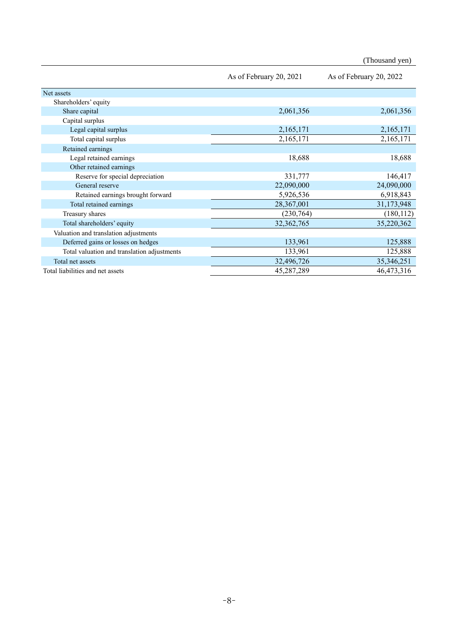|                                             |                         | (Thousand yen)          |
|---------------------------------------------|-------------------------|-------------------------|
|                                             | As of February 20, 2021 | As of February 20, 2022 |
| Net assets                                  |                         |                         |
| Shareholders' equity                        |                         |                         |
| Share capital                               | 2,061,356               | 2,061,356               |
| Capital surplus                             |                         |                         |
| Legal capital surplus                       | 2,165,171               | 2,165,171               |
| Total capital surplus                       | 2,165,171               | 2,165,171               |
| Retained earnings                           |                         |                         |
| Legal retained earnings                     | 18,688                  | 18,688                  |
| Other retained earnings                     |                         |                         |
| Reserve for special depreciation            | 331,777                 | 146,417                 |
| General reserve                             | 22,090,000              | 24,090,000              |
| Retained earnings brought forward           | 5,926,536               | 6,918,843               |
| Total retained earnings                     | 28,367,001              | 31,173,948              |
| Treasury shares                             | (230,764)               | (180, 112)              |
| Total shareholders' equity                  | 32, 362, 765            | 35,220,362              |
| Valuation and translation adjustments       |                         |                         |
| Deferred gains or losses on hedges          | 133,961                 | 125,888                 |
| Total valuation and translation adjustments | 133,961                 | 125,888                 |
| Total net assets                            | 32,496,726              | 35,346,251              |
| Total liabilities and net assets            | 45,287,289              | 46,473,316              |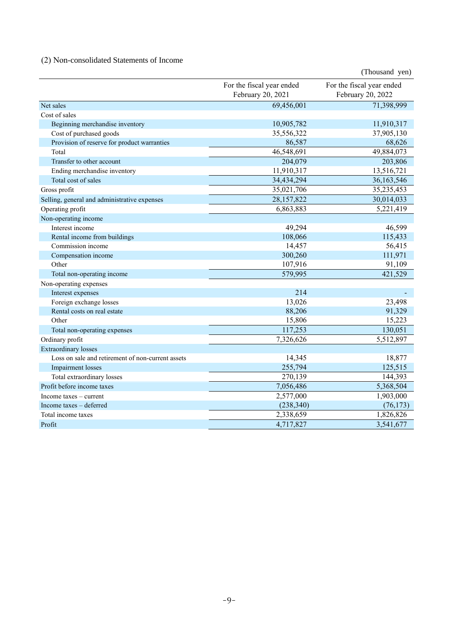# (2) Non-consolidated Statements of Income

|                                                   |                                                | (Thousand yen)                                 |
|---------------------------------------------------|------------------------------------------------|------------------------------------------------|
|                                                   | For the fiscal year ended<br>February 20, 2021 | For the fiscal year ended<br>February 20, 2022 |
| Net sales                                         | 69,456,001                                     | 71,398,999                                     |
| Cost of sales                                     |                                                |                                                |
| Beginning merchandise inventory                   | 10,905,782                                     | 11,910,317                                     |
| Cost of purchased goods                           | 35,556,322                                     | 37,905,130                                     |
| Provision of reserve for product warranties       | 86,587                                         | 68,626                                         |
| Total                                             | 46,548,691                                     | 49,884,073                                     |
| Transfer to other account                         | 204,079                                        | 203,806                                        |
| Ending merchandise inventory                      | 11,910,317                                     | 13,516,721                                     |
| Total cost of sales                               | 34,434,294                                     | 36,163,546                                     |
| Gross profit                                      | 35,021,706                                     | 35,235,453                                     |
| Selling, general and administrative expenses      | 28,157,822                                     | 30,014,033                                     |
| Operating profit                                  | 6,863,883                                      | 5,221,419                                      |
| Non-operating income                              |                                                |                                                |
| Interest income                                   | 49,294                                         | 46,599                                         |
| Rental income from buildings                      | 108,066                                        | 115,433                                        |
| Commission income                                 | 14,457                                         | 56,415                                         |
| Compensation income                               | 300,260                                        | 111,971                                        |
| Other                                             | 107,916                                        | 91,109                                         |
| Total non-operating income                        | 579,995                                        | 421,529                                        |
| Non-operating expenses                            |                                                |                                                |
| Interest expenses                                 | 214                                            |                                                |
| Foreign exchange losses                           | 13,026                                         | 23,498                                         |
| Rental costs on real estate                       | 88,206                                         | 91,329                                         |
| Other                                             | 15,806                                         | 15,223                                         |
| Total non-operating expenses                      | 117,253                                        | 130,051                                        |
| Ordinary profit                                   | 7,326,626                                      | 5,512,897                                      |
| <b>Extraordinary</b> losses                       |                                                |                                                |
| Loss on sale and retirement of non-current assets | 14,345                                         | 18,877                                         |
| Impairment losses                                 | 255,794                                        | 125,515                                        |
| Total extraordinary losses                        | 270,139                                        | 144,393                                        |
| Profit before income taxes                        | 7,056,486                                      | 5,368,504                                      |
| Income taxes – current                            | 2,577,000                                      | 1,903,000                                      |
| Income taxes - deferred                           | (238, 340)                                     | (76, 173)                                      |
| Total income taxes                                | 2,338,659                                      | 1,826,826                                      |
| Profit                                            | 4,717,827                                      | 3,541,677                                      |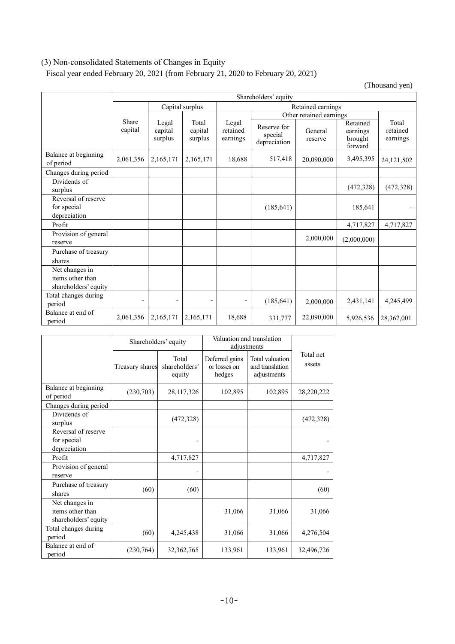# (3) Non-consolidated Statements of Changes in Equity

Share

Fiscal year ended February 20, 2021 (from February 21, 2020 to February 20, 2021)

Legal

(Thousand yen) Shareholders' equity Capital surplus Retained earnings Other retained earnings Total Legal Retained Total Reserve for  $\mathsf{I}$ retained General earnings retained special earnings earnings reserve brought depreciation forward

|                                                            | capital                  | capital<br>surplus       | capital<br>surplus       | retained<br>earnings | Reserve for<br>special<br>depreciation | General<br>reserve | earnings<br>brought<br>forward | retained<br>earnings |
|------------------------------------------------------------|--------------------------|--------------------------|--------------------------|----------------------|----------------------------------------|--------------------|--------------------------------|----------------------|
| Balance at beginning<br>of period                          | 2,061,356                | 2,165,171                | 2,165,171                | 18,688               | 517,418                                | 20,090,000         | 3,495,395                      | 24,121,502           |
| Changes during period                                      |                          |                          |                          |                      |                                        |                    |                                |                      |
| Dividends of<br>surplus                                    |                          |                          |                          |                      |                                        |                    | (472, 328)                     | (472, 328)           |
| Reversal of reserve<br>for special<br>depreciation         |                          |                          |                          |                      | (185, 641)                             |                    | 185,641                        | $\overline{a}$       |
| Profit                                                     |                          |                          |                          |                      |                                        |                    | 4,717,827                      | 4,717,827            |
| Provision of general<br>reserve                            |                          |                          |                          |                      |                                        | 2,000,000          | (2,000,000)                    |                      |
| Purchase of treasury<br>shares                             |                          |                          |                          |                      |                                        |                    |                                |                      |
| Net changes in<br>items other than<br>shareholders' equity |                          |                          |                          |                      |                                        |                    |                                |                      |
| Total changes during<br>period                             | $\overline{\phantom{0}}$ | $\overline{\phantom{0}}$ | $\overline{\phantom{a}}$ |                      | (185, 641)                             | 2,000,000          | 2,431,141                      | 4,245,499            |
| Balance at end of<br>period                                | 2,061,356                | 2,165,171                | 2,165,171                | 18,688               | 331,777                                | 22,090,000         | 5,926,536                      | 28,367,001           |

|                                                            | Shareholders' equity |                                  | Valuation and translation<br>adjustments |                                                   |                     |
|------------------------------------------------------------|----------------------|----------------------------------|------------------------------------------|---------------------------------------------------|---------------------|
|                                                            | Treasury shares      | Total<br>shareholders'<br>equity | Deferred gains<br>or losses on<br>hedges | Total valuation<br>and translation<br>adjustments | Total net<br>assets |
| Balance at beginning<br>of period                          | (230,703)            | 28,117,326                       | 102,895                                  | 102,895                                           | 28,220,222          |
| Changes during period                                      |                      |                                  |                                          |                                                   |                     |
| Dividends of<br>surplus                                    |                      | (472, 328)                       |                                          |                                                   | (472, 328)          |
| Reversal of reserve<br>for special<br>depreciation         |                      |                                  |                                          |                                                   |                     |
| Profit                                                     |                      | 4,717,827                        |                                          |                                                   | 4,717,827           |
| Provision of general<br>reserve                            |                      |                                  |                                          |                                                   |                     |
| Purchase of treasury<br>shares                             | (60)                 | (60)                             |                                          |                                                   | (60)                |
| Net changes in<br>items other than<br>shareholders' equity |                      |                                  | 31,066                                   | 31,066                                            | 31,066              |
| Total changes during<br>period                             | (60)                 | 4,245,438                        | 31,066                                   | 31,066                                            | 4,276,504           |
| Balance at end of<br>period                                | (230,764)            | 32,362,765                       | 133,961                                  | 133,961                                           | 32,496,726          |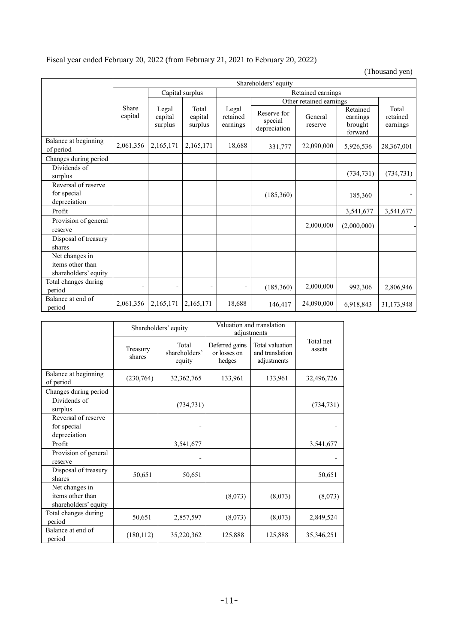# Fiscal year ended February 20, 2022 (from February 21, 2021 to February 20, 2022)

(Thousand yen)

|                                                            | Shareholders' equity     |                              |                             |                               |                                        |                         |                                            |                               |
|------------------------------------------------------------|--------------------------|------------------------------|-----------------------------|-------------------------------|----------------------------------------|-------------------------|--------------------------------------------|-------------------------------|
|                                                            |                          | Capital surplus              |                             | Retained earnings             |                                        |                         |                                            |                               |
|                                                            |                          |                              |                             |                               |                                        | Other retained earnings |                                            |                               |
|                                                            | Share<br>capital         | Legal<br>capital<br>surplus  | Total<br>capital<br>surplus | Legal<br>retained<br>earnings | Reserve for<br>special<br>depreciation | General<br>reserve      | Retained<br>earnings<br>brought<br>forward | Total<br>retained<br>earnings |
| Balance at beginning<br>of period                          | 2,061,356                | 2,165,171                    | 2,165,171                   | 18,688                        | 331,777                                | 22,090,000              | 5,926,536                                  | 28,367,001                    |
| Changes during period                                      |                          |                              |                             |                               |                                        |                         |                                            |                               |
| Dividends of<br>surplus                                    |                          |                              |                             |                               |                                        |                         | (734, 731)                                 | (734, 731)                    |
| Reversal of reserve<br>for special<br>depreciation         |                          |                              |                             |                               | (185,360)                              |                         | 185,360                                    |                               |
| Profit                                                     |                          |                              |                             |                               |                                        |                         | 3,541,677                                  | 3,541,677                     |
| Provision of general<br>reserve                            |                          |                              |                             |                               |                                        | 2,000,000               | (2,000,000)                                |                               |
| Disposal of treasury<br>shares                             |                          |                              |                             |                               |                                        |                         |                                            |                               |
| Net changes in<br>items other than<br>shareholders' equity |                          |                              |                             |                               |                                        |                         |                                            |                               |
| Total changes during<br>period                             | $\overline{\phantom{a}}$ | $\qquad \qquad \blacksquare$ | $\overline{a}$              |                               | (185,360)                              | 2,000,000               | 992,306                                    | 2,806,946                     |
| Balance at end of<br>period                                | 2,061,356                | 2,165,171                    | 2,165,171                   | 18,688                        | 146,417                                | 24,090,000              | 6,918,843                                  | 31,173,948                    |

|                                                            | Shareholders' equity |                                  | Valuation and translation<br>adjustments |                                                   |                     |
|------------------------------------------------------------|----------------------|----------------------------------|------------------------------------------|---------------------------------------------------|---------------------|
|                                                            | Treasury<br>shares   | Total<br>shareholders'<br>equity | Deferred gains<br>or losses on<br>hedges | Total valuation<br>and translation<br>adjustments | Total net<br>assets |
| Balance at beginning<br>of period                          | (230,764)            | 32,362,765                       | 133,961                                  | 133,961                                           | 32,496,726          |
| Changes during period                                      |                      |                                  |                                          |                                                   |                     |
| Dividends of<br>surplus                                    |                      | (734, 731)                       |                                          |                                                   | (734, 731)          |
| Reversal of reserve<br>for special<br>depreciation         |                      |                                  |                                          |                                                   |                     |
| Profit                                                     |                      | 3,541,677                        |                                          |                                                   | 3,541,677           |
| Provision of general<br>reserve                            |                      |                                  |                                          |                                                   |                     |
| Disposal of treasury<br>shares                             | 50,651               | 50,651                           |                                          |                                                   | 50,651              |
| Net changes in<br>items other than<br>shareholders' equity |                      |                                  | (8,073)                                  | (8,073)                                           | (8,073)             |
| Total changes during<br>period                             | 50,651               | 2,857,597                        | (8,073)                                  | (8,073)                                           | 2,849,524           |
| Balance at end of<br>period                                | (180, 112)           | 35,220,362                       | 125,888                                  | 125,888                                           | 35, 346, 251        |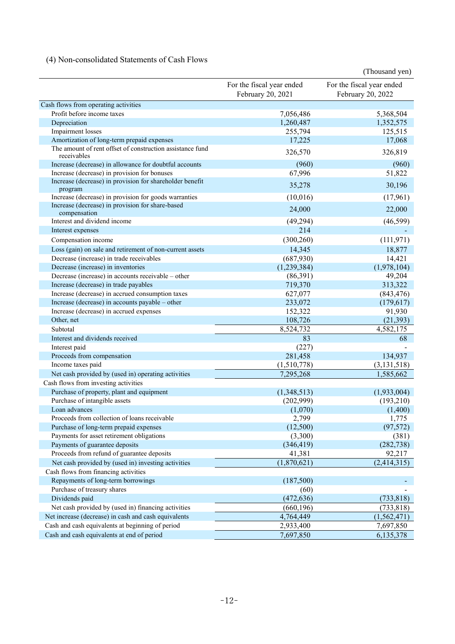# (4) Non-consolidated Statements of Cash Flows

|                                                                                                           |                                                | (Thousand yen)                                 |
|-----------------------------------------------------------------------------------------------------------|------------------------------------------------|------------------------------------------------|
|                                                                                                           | For the fiscal year ended<br>February 20, 2021 | For the fiscal year ended<br>February 20, 2022 |
| Cash flows from operating activities                                                                      |                                                |                                                |
| Profit before income taxes                                                                                | 7,056,486                                      | 5,368,504                                      |
| Depreciation                                                                                              | 1,260,487                                      | 1,352,575                                      |
| Impairment losses                                                                                         | 255,794                                        | 125,515                                        |
| Amortization of long-term prepaid expenses                                                                | 17,225                                         | 17,068                                         |
| The amount of rent offset of construction assistance fund<br>receivables                                  | 326,570                                        | 326,819                                        |
| Increase (decrease) in allowance for doubtful accounts                                                    | (960)                                          | (960)                                          |
| Increase (decrease) in provision for bonuses                                                              | 67,996                                         | 51,822                                         |
| Increase (decrease) in provision for shareholder benefit                                                  | 35,278                                         | 30,196                                         |
| program                                                                                                   |                                                |                                                |
| Increase (decrease) in provision for goods warranties<br>Increase (decrease) in provision for share-based | (10,016)                                       | (17,961)                                       |
| compensation                                                                                              | 24,000                                         | 22,000                                         |
| Interest and dividend income                                                                              | (49, 294)                                      | (46, 599)                                      |
| Interest expenses                                                                                         | 214                                            |                                                |
| Compensation income                                                                                       | (300, 260)                                     | (111, 971)                                     |
| Loss (gain) on sale and retirement of non-current assets                                                  | 14,345                                         | 18,877                                         |
| Decrease (increase) in trade receivables                                                                  | (687,930)                                      | 14,421                                         |
| Decrease (increase) in inventories                                                                        | (1,239,384)                                    | (1,978,104)                                    |
| Decrease (increase) in accounts receivable – other                                                        | (86,391)                                       | 49,204                                         |
| Increase (decrease) in trade payables                                                                     | 719,370                                        | 313,322                                        |
| Increase (decrease) in accrued consumption taxes                                                          | 627,077                                        | (843, 476)                                     |
| Increase (decrease) in accounts payable – other                                                           | 233,072                                        | (179, 617)                                     |
| Increase (decrease) in accrued expenses                                                                   | 152,322                                        | 91,930                                         |
| Other, net                                                                                                | 108,726                                        | (21, 393)                                      |
| Subtotal                                                                                                  | 8,524,732                                      | 4,582,175                                      |
| Interest and dividends received                                                                           | 83                                             | 68                                             |
| Interest paid                                                                                             | (227)                                          |                                                |
| Proceeds from compensation                                                                                | 281,458                                        | 134,937                                        |
| Income taxes paid                                                                                         | (1,510,778)                                    | (3, 131, 518)                                  |
| Net cash provided by (used in) operating activities                                                       | 7,295,268                                      | 1,585,662                                      |
| Cash flows from investing activities                                                                      |                                                |                                                |
| Purchase of property, plant and equipment                                                                 | (1,348,513)                                    | (1,933,004)                                    |
| Purchase of intangible assets                                                                             | (202,999)                                      | (193,210)                                      |
| Loan advances                                                                                             | (1,070)                                        | (1,400)                                        |
| Proceeds from collection of loans receivable                                                              | 2,799                                          | 1,775                                          |
| Purchase of long-term prepaid expenses                                                                    | (12,500)                                       | (97, 572)                                      |
| Payments for asset retirement obligations                                                                 | (3,300)                                        | (381)                                          |
| Payments of guarantee deposits                                                                            | (346, 419)                                     | (282, 738)                                     |
| Proceeds from refund of guarantee deposits                                                                | 41,381                                         | 92,217                                         |
| Net cash provided by (used in) investing activities                                                       | (1,870,621)                                    | (2,414,315)                                    |
| Cash flows from financing activities                                                                      |                                                |                                                |
| Repayments of long-term borrowings                                                                        | (187,500)                                      |                                                |
| Purchase of treasury shares                                                                               | (60)                                           |                                                |
| Dividends paid                                                                                            | (472, 636)                                     | (733, 818)                                     |
| Net cash provided by (used in) financing activities                                                       | (660, 196)                                     | (733, 818)                                     |
| Net increase (decrease) in cash and cash equivalents                                                      | 4,764,449                                      | (1, 562, 471)                                  |
| Cash and cash equivalents at beginning of period                                                          | 2,933,400                                      | 7,697,850                                      |
| Cash and cash equivalents at end of period                                                                | 7,697,850                                      | 6,135,378                                      |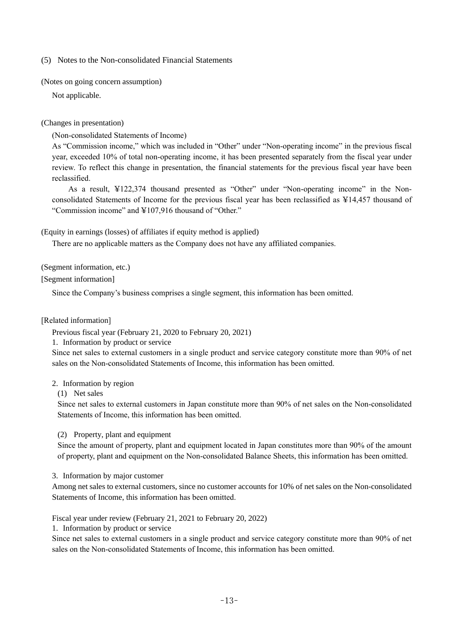(5) Notes to the Non-consolidated Financial Statements

(Notes on going concern assumption)

Not applicable.

### (Changes in presentation)

(Non-consolidated Statements of Income)

As "Commission income," which was included in "Other" under "Non-operating income" in the previous fiscal year, exceeded 10% of total non-operating income, it has been presented separately from the fiscal year under review. To reflect this change in presentation, the financial statements for the previous fiscal year have been reclassified.

As a result, ¥122,374 thousand presented as "Other" under "Non-operating income" in the Nonconsolidated Statements of Income for the previous fiscal year has been reclassified as ¥14,457 thousand of "Commission income" and ¥107,916 thousand of "Other."

(Equity in earnings (losses) of affiliates if equity method is applied)

There are no applicable matters as the Company does not have any affiliated companies.

(Segment information, etc.)

[Segment information]

Since the Company's business comprises a single segment, this information has been omitted.

#### [Related information]

Previous fiscal year (February 21, 2020 to February 20, 2021)

1. Information by product or service

Since net sales to external customers in a single product and service category constitute more than 90% of net sales on the Non-consolidated Statements of Income, this information has been omitted.

### 2. Information by region

(1) Net sales

Since net sales to external customers in Japan constitute more than 90% of net sales on the Non-consolidated Statements of Income, this information has been omitted.

(2) Property, plant and equipment

Since the amount of property, plant and equipment located in Japan constitutes more than 90% of the amount of property, plant and equipment on the Non-consolidated Balance Sheets, this information has been omitted.

3. Information by major customer

Among net sales to external customers, since no customer accounts for 10% of net sales on the Non-consolidated Statements of Income, this information has been omitted.

Fiscal year under review (February 21, 2021 to February 20, 2022)

1. Information by product or service

Since net sales to external customers in a single product and service category constitute more than 90% of net sales on the Non-consolidated Statements of Income, this information has been omitted.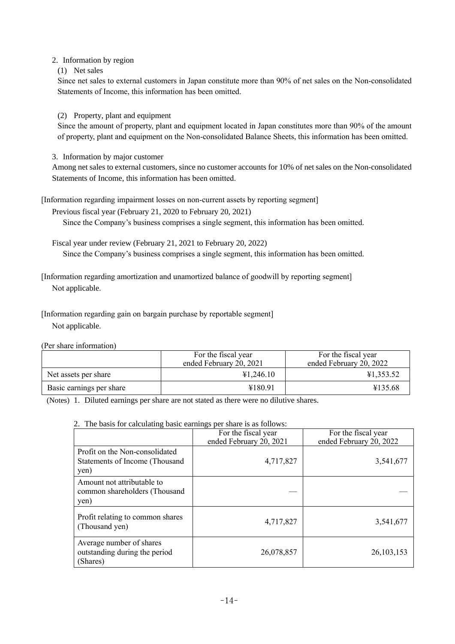### 2. Information by region

(1) Net sales

Since net sales to external customers in Japan constitute more than 90% of net sales on the Non-consolidated Statements of Income, this information has been omitted.

### (2) Property, plant and equipment

Since the amount of property, plant and equipment located in Japan constitutes more than 90% of the amount of property, plant and equipment on the Non-consolidated Balance Sheets, this information has been omitted.

3. Information by major customer

Among net sales to external customers, since no customer accounts for 10% of net sales on the Non-consolidated Statements of Income, this information has been omitted.

[Information regarding impairment losses on non-current assets by reporting segment]

Previous fiscal year (February 21, 2020 to February 20, 2021)

Since the Company's business comprises a single segment, this information has been omitted.

Fiscal year under review (February 21, 2021 to February 20, 2022) Since the Company's business comprises a single segment, this information has been omitted.

[Information regarding amortization and unamortized balance of goodwill by reporting segment] Not applicable.

[Information regarding gain on bargain purchase by reportable segment] Not applicable.

(Per share information)

|                          | For the fiscal year<br>ended February 20, 2021 | For the fiscal year<br>ended February 20, 2022 |
|--------------------------|------------------------------------------------|------------------------------------------------|
| Net assets per share     | ¥1,246.10                                      | ¥1,353.52                                      |
| Basic earnings per share | ¥180.91                                        | ¥135.68                                        |

(Notes) 1. Diluted earnings per share are not stated as there were no dilutive shares.

### 2. The basis for calculating basic earnings per share is as follows:

|                                                                          | For the fiscal year<br>ended February 20, 2021 | For the fiscal year<br>ended February 20, 2022 |
|--------------------------------------------------------------------------|------------------------------------------------|------------------------------------------------|
| Profit on the Non-consolidated<br>Statements of Income (Thousand<br>yen) | 4,717,827                                      | 3,541,677                                      |
| Amount not attributable to<br>common shareholders (Thousand<br>yen)      |                                                |                                                |
| Profit relating to common shares<br>(Thousand yen)                       | 4,717,827                                      | 3,541,677                                      |
| Average number of shares<br>outstanding during the period<br>(Shares)    | 26,078,857                                     | 26, 103, 153                                   |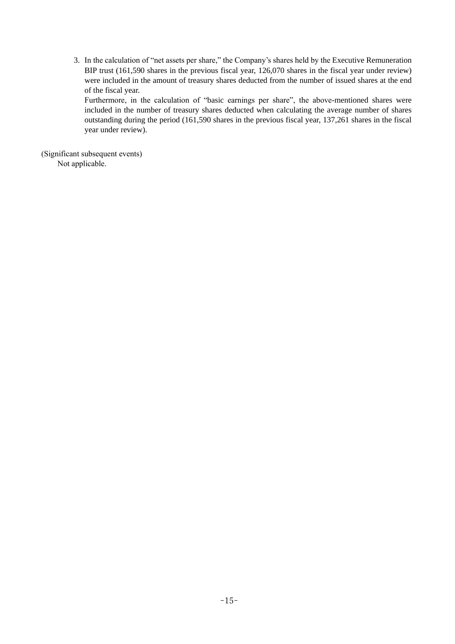3. In the calculation of "net assets per share," the Company's shares held by the Executive Remuneration BIP trust (161,590 shares in the previous fiscal year, 126,070 shares in the fiscal year under review) were included in the amount of treasury shares deducted from the number of issued shares at the end of the fiscal year.

Furthermore, in the calculation of "basic earnings per share", the above-mentioned shares were included in the number of treasury shares deducted when calculating the average number of shares outstanding during the period (161,590 shares in the previous fiscal year, 137,261 shares in the fiscal year under review).

(Significant subsequent events) Not applicable.